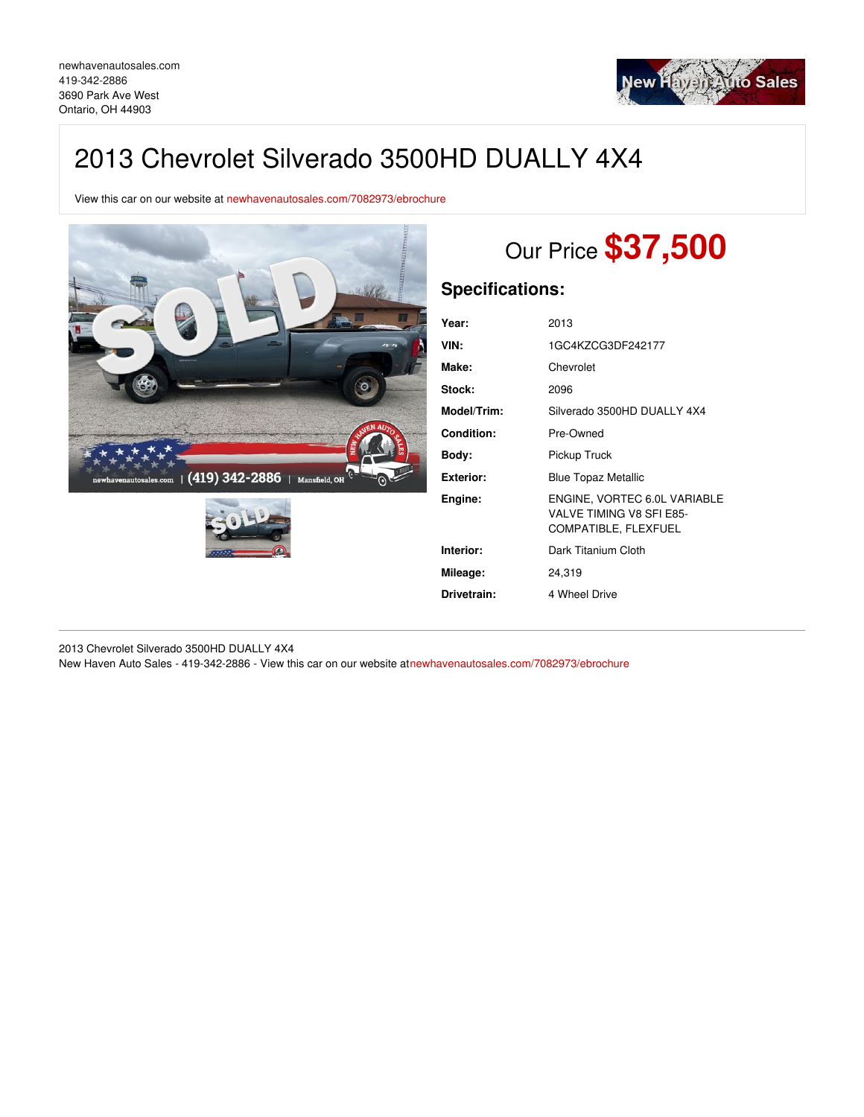

## 2013 Chevrolet Silverado 3500HD DUALLY 4X4

View this car on our website at [newhavenautosales.com/7082973/ebrochure](https://newhavenautosales.com/vehicle/7082973/2013-chevrolet-silverado-3500hd-dually-4x4-ontario-oh-44903/7082973/ebrochure)





# Our Price **\$37,500**

## **Specifications:**

| Year:             | 2013                                                                             |
|-------------------|----------------------------------------------------------------------------------|
| VIN:              | 1GC4KZCG3DF242177                                                                |
| Make:             | Chevrolet                                                                        |
| Stock:            | 2096                                                                             |
| Model/Trim:       | Silverado 3500HD DUALLY 4X4                                                      |
| <b>Condition:</b> | Pre-Owned                                                                        |
| Body:             | Pickup Truck                                                                     |
| Exterior:         | <b>Blue Topaz Metallic</b>                                                       |
| Engine:           | ENGINE, VORTEC 6.0L VARIABLE<br>VALVE TIMING V8 SFI E85-<br>COMPATIBLE, FLEXFUEL |
| Interior:         | Dark Titanium Cloth                                                              |
| Mileage:          | 24.319                                                                           |
| Drivetrain:       | 4 Wheel Drive                                                                    |

2013 Chevrolet Silverado 3500HD DUALLY 4X4

New Haven Auto Sales - 419-342-2886 - View this car on our website a[tnewhavenautosales.com/7082973/ebrochure](https://newhavenautosales.com/vehicle/7082973/2013-chevrolet-silverado-3500hd-dually-4x4-ontario-oh-44903/7082973/ebrochure)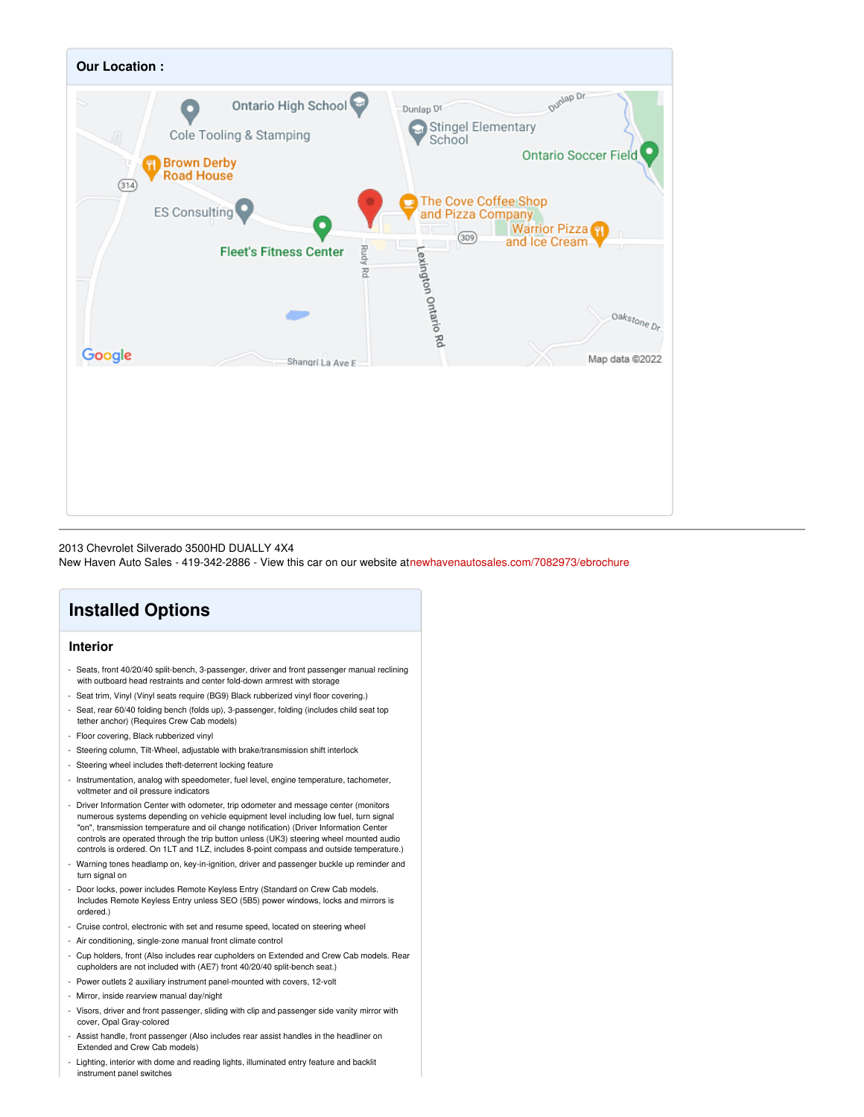

#### 2013 Chevrolet Silverado 3500HD DUALLY 4X4 New Haven Auto Sales - 419-342-2886 - View this car on our website a[tnewhavenautosales.com/7082973/ebrochure](https://newhavenautosales.com/vehicle/7082973/2013-chevrolet-silverado-3500hd-dually-4x4-ontario-oh-44903/7082973/ebrochure)

## **Installed Options**

#### **Interior**

- Seats, front 40/20/40 split-bench, 3-passenger, driver and front passenger manual reclining with outboard head restraints and center fold-down armrest with storage
- Seat trim, Vinyl (Vinyl seats require (BG9) Black rubberized vinyl floor covering.) - Seat, rear 60/40 folding bench (folds up), 3-passenger, folding (includes child seat top
- tether anchor) (Requires Crew Cab models)
- Floor covering, Black rubberized vinyl
- Steering column, Tilt-Wheel, adjustable with brake/transmission shift interlock
- Steering wheel includes theft-deterrent locking feature
- Instrumentation, analog with speedometer, fuel level, engine temperature, tachometer, voltmeter and oil pressure indicators
- Driver Information Center with odometer, trip odometer and message center (monitors numerous systems depending on vehicle equipment level including low fuel, turn signal "on", transmission temperature and oil change notification) (Driver Information Center controls are operated through the trip button unless (UK3) steering wheel mounted audio controls is ordered. On 1LT and 1LZ, includes 8-point compass and outside temperature.)
- Warning tones headlamp on, key-in-ignition, driver and passenger buckle up reminder and turn signal on
- Door locks, power includes Remote Keyless Entry (Standard on Crew Cab models. Includes Remote Keyless Entry unless SEO (5B5) power windows, locks and mirrors is ordered.)
- Cruise control, electronic with set and resume speed, located on steering wheel
- Air conditioning, single-zone manual front climate control
- Cup holders, front (Also includes rear cupholders on Extended and Crew Cab models. Rear cupholders are not included with (AE7) front 40/20/40 split-bench seat.)
- Power outlets 2 auxiliary instrument panel-mounted with covers, 12-volt
- Mirror, inside rearview manual day/night
- Visors, driver and front passenger, sliding with clip and passenger side vanity mirror with cover, Opal Gray-colored
- Assist handle, front passenger (Also includes rear assist handles in the headliner on Extended and Crew Cab models)
- Lighting, interior with dome and reading lights, illuminated entry feature and backlit instrument panel switches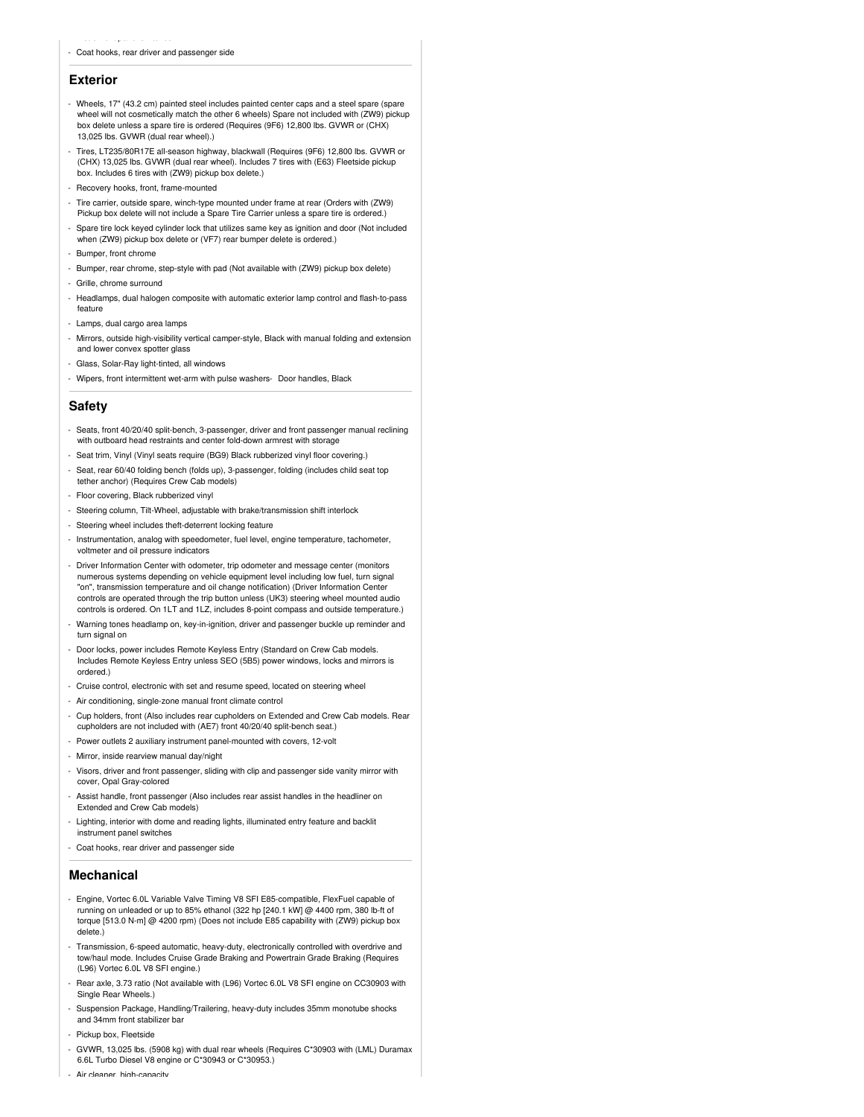instrument panel switches

#### **Exterior**

- Wheels, 17" (43.2 cm) painted steel includes painted center caps and a steel spare (spare wheel will not cosmetically match the other 6 wheels) Spare not included with (ZW9) pickup box delete unless a spare tire is ordered (Requires (9F6) 12,800 lbs. GVWR or (CHX) 13,025 lbs. GVWR (dual rear wheel).)
- Tires, LT235/80R17E all-season highway, blackwall (Requires (9F6) 12,800 lbs. GVWR or (CHX) 13,025 lbs. GVWR (dual rear wheel). Includes 7 tires with (E63) Fleetside pickup box. Includes 6 tires with (ZW9) pickup box delete.)
- Recovery hooks, front, frame-mounted
- Tire carrier, outside spare, winch-type mounted under frame at rear (Orders with (ZW9) Pickup box delete will not include a Spare Tire Carrier unless a spare tire is ordered.)
- Spare tire lock keyed cylinder lock that utilizes same key as ignition and door (Not included when (ZW9) pickup box delete or (VF7) rear bumper delete is ordered.)
- Bumper, front chrome
- Bumper, rear chrome, step-style with pad (Not available with (ZW9) pickup box delete)
- Grille, chrome surround
- Headlamps, dual halogen composite with automatic exterior lamp control and flash-to-pass feature
- Lamps, dual cargo area lamps
- Mirrors, outside high-visibility vertical camper-style, Black with manual folding and extension and lower convex spotter glass
- Glass, Solar-Ray light-tinted, all windows
- Wipers, front intermittent wet-arm with pulse washers- Door handles, Black

#### **Safety**

- Seats, front 40/20/40 split-bench, 3-passenger, driver and front passenger manual reclining with outboard head restraints and center fold-down armrest with storage
- Seat trim, Vinyl (Vinyl seats require (BG9) Black rubberized vinyl floor covering.)
- Seat, rear 60/40 folding bench (folds up), 3-passenger, folding (includes child seat top tether anchor) (Requires Crew Cab models)
- Floor covering, Black rubberized vinyl
- Steering column, Tilt-Wheel, adjustable with brake/transmission shift interlock
- Steering wheel includes theft-deterrent locking feature
- Instrumentation, analog with speedometer, fuel level, engine temperature, tachometer, voltmeter and oil pressure indicators
- Driver Information Center with odometer, trip odometer and message center (monitors numerous systems depending on vehicle equipment level including low fuel, turn signal "on", transmission temperature and oil change notification) (Driver Information Center controls are operated through the trip button unless (UK3) steering wheel mounted audio controls is ordered. On 1LT and 1LZ, includes 8-point compass and outside temperature.)
- Warning tones headlamp on, key-in-ignition, driver and passenger buckle up reminder and turn signal on
- Door locks, power includes Remote Keyless Entry (Standard on Crew Cab models. Includes Remote Keyless Entry unless SEO (5B5) power windows, locks and mirrors is ordered.)
- Cruise control, electronic with set and resume speed, located on steering wheel
- Air conditioning, single-zone manual front climate control
- Cup holders, front (Also includes rear cupholders on Extended and Crew Cab models. Rear cupholders are not included with (AE7) front 40/20/40 split-bench seat.)
- Power outlets 2 auxiliary instrument panel-mounted with covers, 12-volt
- Mirror, inside rearview manual day/night
- Visors, driver and front passenger, sliding with clip and passenger side vanity mirror with cover, Opal Gray-colored
- Assist handle, front passenger (Also includes rear assist handles in the headliner on Extended and Crew Cab models)
- Lighting, interior with dome and reading lights, illuminated entry feature and backlit instrument panel switches
- Coat hooks, rear driver and passenger side

#### **Mechanical**

- Engine, Vortec 6.0L Variable Valve Timing V8 SFI E85-compatible, FlexFuel capable of running on unleaded or up to 85% ethanol (322 hp [240.1 kW] @ 4400 rpm, 380 lb-ft of torque [513.0 N-m] @ 4200 rpm) (Does not include E85 capability with (ZW9) pickup box delete.)
- Transmission, 6-speed automatic, heavy-duty, electronically controlled with overdrive and tow/haul mode. Includes Cruise Grade Braking and Powertrain Grade Braking (Requires (L96) Vortec 6.0L V8 SFI engine.)
- Rear axle, 3.73 ratio (Not available with (L96) Vortec 6.0L V8 SFI engine on CC30903 with Single Rear Wheels.)
- Suspension Package, Handling/Trailering, heavy-duty includes 35mm monotube shocks and 34mm front stabilizer bar
- Pickup box, Fleetside
- GVWR, 13,025 lbs. (5908 kg) with dual rear wheels (Requires C\*30903 with (LML) Duramax 6.6L Turbo Diesel V8 engine or C\*30943 or C\*30953.)
- Air cleaner, high-capacity